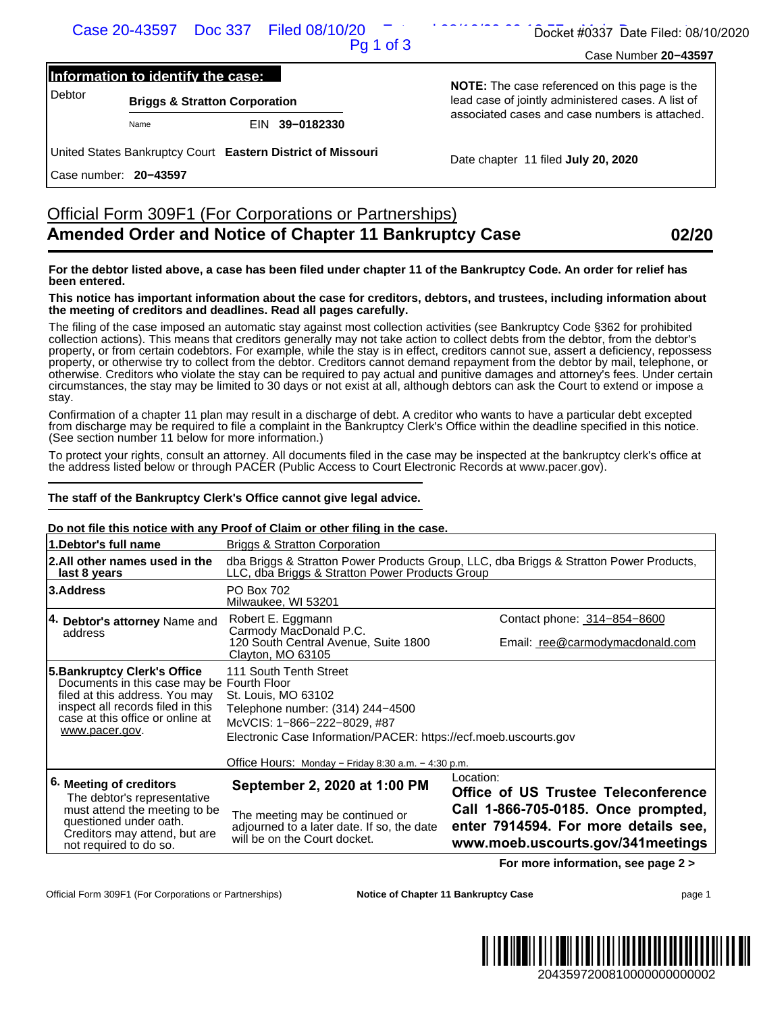#### **Information to identify the case:**

## Official Form 309F1 (For Corporations or Partnerships) **Amended Order and Notice of Chapter 11 Bankruptcy Case 02/20**

#### **For the debtor listed above, a case has been filed under chapter 11 of the Bankruptcy Code. An order for relief has been entered.**

#### **This notice has important information about the case for creditors, debtors, and trustees, including information about the meeting of creditors and deadlines. Read all pages carefully.**

#### **The staff of the Bankruptcy Clerk's Office cannot give legal advice.**

#### **Do not file this notice with any Proof of Claim or other filing in the case.**

| Information to identify the case:<br><b>Briggs &amp; Stratton Corporation</b><br>Name                                                                                                                                                                                                                               | Pq 1 of 3                                                                                                                                                                            | Case Number 20-43597                                                                                                                                                                                                                                                                                                                                                                                                                                                                                                                                                                                                                                                                                                                                                                                             |  |  |
|---------------------------------------------------------------------------------------------------------------------------------------------------------------------------------------------------------------------------------------------------------------------------------------------------------------------|--------------------------------------------------------------------------------------------------------------------------------------------------------------------------------------|------------------------------------------------------------------------------------------------------------------------------------------------------------------------------------------------------------------------------------------------------------------------------------------------------------------------------------------------------------------------------------------------------------------------------------------------------------------------------------------------------------------------------------------------------------------------------------------------------------------------------------------------------------------------------------------------------------------------------------------------------------------------------------------------------------------|--|--|
| <b>Debtor</b><br>United States Bankruptcy Court Eastern District of Missouri                                                                                                                                                                                                                                        |                                                                                                                                                                                      |                                                                                                                                                                                                                                                                                                                                                                                                                                                                                                                                                                                                                                                                                                                                                                                                                  |  |  |
|                                                                                                                                                                                                                                                                                                                     | EIN 39-0182330                                                                                                                                                                       | <b>NOTE:</b> The case referenced on this page is the<br>lead case of jointly administered cases. A list of<br>associated cases and case numbers is attached.                                                                                                                                                                                                                                                                                                                                                                                                                                                                                                                                                                                                                                                     |  |  |
|                                                                                                                                                                                                                                                                                                                     |                                                                                                                                                                                      |                                                                                                                                                                                                                                                                                                                                                                                                                                                                                                                                                                                                                                                                                                                                                                                                                  |  |  |
| Case number: 20-43597                                                                                                                                                                                                                                                                                               |                                                                                                                                                                                      | Date chapter 11 filed July 20, 2020                                                                                                                                                                                                                                                                                                                                                                                                                                                                                                                                                                                                                                                                                                                                                                              |  |  |
|                                                                                                                                                                                                                                                                                                                     |                                                                                                                                                                                      |                                                                                                                                                                                                                                                                                                                                                                                                                                                                                                                                                                                                                                                                                                                                                                                                                  |  |  |
|                                                                                                                                                                                                                                                                                                                     | Official Form 309F1 (For Corporations or Partnerships)<br><b>Amended Order and Notice of Chapter 11 Bankruptcy Case</b>                                                              | 02/20                                                                                                                                                                                                                                                                                                                                                                                                                                                                                                                                                                                                                                                                                                                                                                                                            |  |  |
| been entered.                                                                                                                                                                                                                                                                                                       |                                                                                                                                                                                      | For the debtor listed above, a case has been filed under chapter 11 of the Bankruptcy Code. An order for relief has                                                                                                                                                                                                                                                                                                                                                                                                                                                                                                                                                                                                                                                                                              |  |  |
|                                                                                                                                                                                                                                                                                                                     | the meeting of creditors and deadlines. Read all pages carefully.                                                                                                                    | This notice has important information about the case for creditors, debtors, and trustees, including information about                                                                                                                                                                                                                                                                                                                                                                                                                                                                                                                                                                                                                                                                                           |  |  |
| stay.                                                                                                                                                                                                                                                                                                               |                                                                                                                                                                                      | The filing of the case imposed an automatic stay against most collection activities (see Bankruptcy Code §362 for prohibited<br>collection actions). This means that creditors generally may not take action to collect debts from the debtor, from the debtor's<br>property, or from certain codebtors. For example, while the stay is in effect, creditors cannot sue, assert a deficiency, repossess<br>property, or otherwise try to collect from the debtor. Creditors cannot demand repayment from the debtor by mail, telephone, or<br>otherwise. Creditors who violate the stay can be required to pay actual and punitive damages and attorney's fees. Under certain<br>circumstances, the stay may be limited to 30 days or not exist at all, although debtors can ask the Court to extend or impose a |  |  |
| (See section number 11 below for more information.)                                                                                                                                                                                                                                                                 |                                                                                                                                                                                      | Confirmation of a chapter 11 plan may result in a discharge of debt. A creditor who wants to have a particular debt excepted<br>from discharge may be required to file a complaint in the Bankruptcy Clerk's Office within the deadline specified in this notice.                                                                                                                                                                                                                                                                                                                                                                                                                                                                                                                                                |  |  |
|                                                                                                                                                                                                                                                                                                                     | the address listed below or through PACER (Public Access to Court Electronic Records at www.pacer.gov).                                                                              | To protect your rights, consult an attorney. All documents filed in the case may be inspected at the bankruptcy clerk's office at                                                                                                                                                                                                                                                                                                                                                                                                                                                                                                                                                                                                                                                                                |  |  |
|                                                                                                                                                                                                                                                                                                                     |                                                                                                                                                                                      |                                                                                                                                                                                                                                                                                                                                                                                                                                                                                                                                                                                                                                                                                                                                                                                                                  |  |  |
|                                                                                                                                                                                                                                                                                                                     | The staff of the Bankruptcy Clerk's Office cannot give legal advice.                                                                                                                 |                                                                                                                                                                                                                                                                                                                                                                                                                                                                                                                                                                                                                                                                                                                                                                                                                  |  |  |
|                                                                                                                                                                                                                                                                                                                     | Do not file this notice with any Proof of Claim or other filing in the case.<br><b>Briggs &amp; Stratton Corporation</b>                                                             |                                                                                                                                                                                                                                                                                                                                                                                                                                                                                                                                                                                                                                                                                                                                                                                                                  |  |  |
| last 8 years                                                                                                                                                                                                                                                                                                        | LLC, dba Briggs & Stratton Power Products Group                                                                                                                                      | dba Briggs & Stratton Power Products Group, LLC, dba Briggs & Stratton Power Products,                                                                                                                                                                                                                                                                                                                                                                                                                                                                                                                                                                                                                                                                                                                           |  |  |
|                                                                                                                                                                                                                                                                                                                     | PO Box 702                                                                                                                                                                           |                                                                                                                                                                                                                                                                                                                                                                                                                                                                                                                                                                                                                                                                                                                                                                                                                  |  |  |
|                                                                                                                                                                                                                                                                                                                     | Milwaukee, WI 53201<br>Robert E. Eggmann                                                                                                                                             | Contact phone: 314-854-8600                                                                                                                                                                                                                                                                                                                                                                                                                                                                                                                                                                                                                                                                                                                                                                                      |  |  |
| address                                                                                                                                                                                                                                                                                                             | Carmody MacDonald P.C.<br>120 South Central Avenue, Suite 1800<br>Clayton, MO 63105                                                                                                  | Email: ree@carmodymacdonald.com                                                                                                                                                                                                                                                                                                                                                                                                                                                                                                                                                                                                                                                                                                                                                                                  |  |  |
| Documents in this case may be Fourth Floor<br>filed at this address. You may<br>inspect all records filed in this<br>case at this office or online at<br>www.pacer.gov.                                                                                                                                             | 111 South Tenth Street<br>St. Louis, MO 63102<br>Telephone number: (314) 244-4500<br>McVCIS: 1-866-222-8029, #87<br>Electronic Case Information/PACER: https://ecf.moeb.uscourts.gov |                                                                                                                                                                                                                                                                                                                                                                                                                                                                                                                                                                                                                                                                                                                                                                                                                  |  |  |
|                                                                                                                                                                                                                                                                                                                     | Office Hours: Monday - Friday 8:30 a.m. - 4:30 p.m.                                                                                                                                  |                                                                                                                                                                                                                                                                                                                                                                                                                                                                                                                                                                                                                                                                                                                                                                                                                  |  |  |
|                                                                                                                                                                                                                                                                                                                     | September 2, 2020 at 1:00 PM                                                                                                                                                         | Location:<br>Office of US Trustee Teleconference                                                                                                                                                                                                                                                                                                                                                                                                                                                                                                                                                                                                                                                                                                                                                                 |  |  |
| 1.Debtor's full name<br>2.All other names used in the<br>3.Address<br>4. Debtor's attorney Name and<br>5. Bankruptcy Clerk's Office<br>6. Meeting of creditors<br>The debtor's representative<br>must attend the meeting to be<br>questioned under oath.<br>Creditors may attend, but are<br>not required to do so. | The meeting may be continued or<br>adjourned to a later date. If so, the date<br>will be on the Court docket.                                                                        | Call 1-866-705-0185. Once prompted,<br>enter 7914594. For more details see,<br>www.moeb.uscourts.gov/341meetings                                                                                                                                                                                                                                                                                                                                                                                                                                                                                                                                                                                                                                                                                                 |  |  |
|                                                                                                                                                                                                                                                                                                                     |                                                                                                                                                                                      | For more information, see page 2 >                                                                                                                                                                                                                                                                                                                                                                                                                                                                                                                                                                                                                                                                                                                                                                               |  |  |

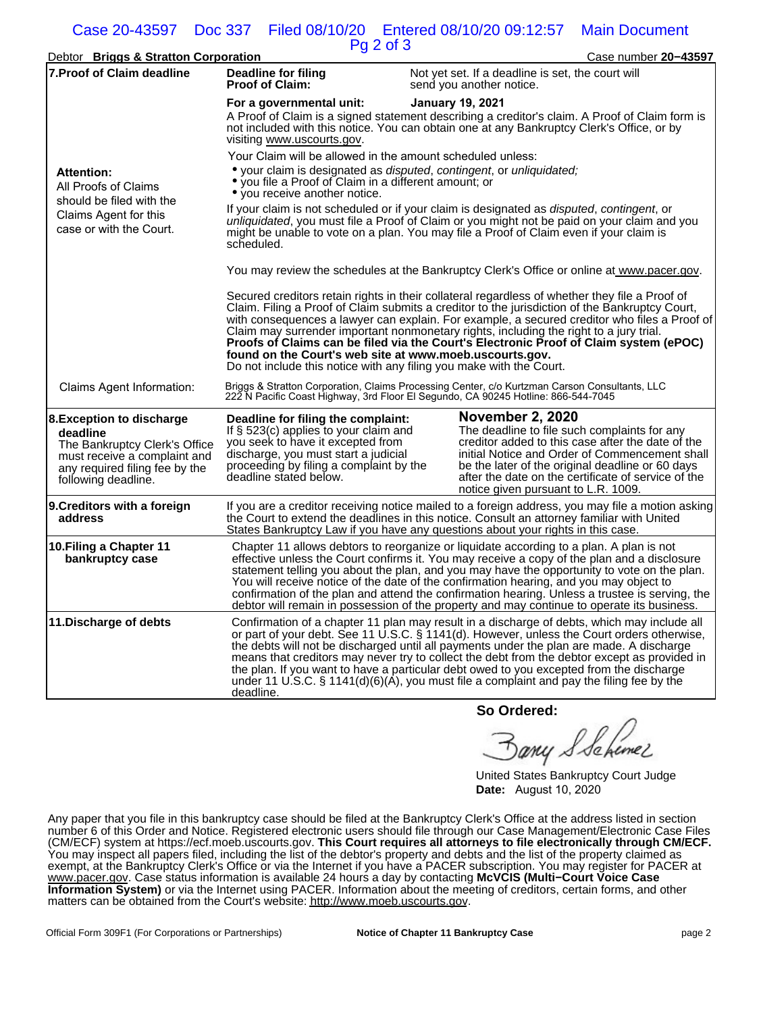# Case 20-43597 Doc 337 Filed 08/10/20 Entered 08/10/20 09:12:57 Main Document

|                                                                                                                                                                        |                                                                                                                                                                                                                                                                                                                                                                                                                                                                                                                                                                                                                       | Pg 2 of 3                                                                                                                                                                                                                                                                                                                                                                                                                                                                                                                                                                       |  |  |
|------------------------------------------------------------------------------------------------------------------------------------------------------------------------|-----------------------------------------------------------------------------------------------------------------------------------------------------------------------------------------------------------------------------------------------------------------------------------------------------------------------------------------------------------------------------------------------------------------------------------------------------------------------------------------------------------------------------------------------------------------------------------------------------------------------|---------------------------------------------------------------------------------------------------------------------------------------------------------------------------------------------------------------------------------------------------------------------------------------------------------------------------------------------------------------------------------------------------------------------------------------------------------------------------------------------------------------------------------------------------------------------------------|--|--|
| Debtor Briggs & Stratton Corporation                                                                                                                                   |                                                                                                                                                                                                                                                                                                                                                                                                                                                                                                                                                                                                                       | Case number 20-43597                                                                                                                                                                                                                                                                                                                                                                                                                                                                                                                                                            |  |  |
| <b>7. Proof of Claim deadline</b>                                                                                                                                      | Deadline for filing<br><b>Proof of Claim:</b>                                                                                                                                                                                                                                                                                                                                                                                                                                                                                                                                                                         | Not yet set. If a deadline is set, the court will<br>send you another notice.                                                                                                                                                                                                                                                                                                                                                                                                                                                                                                   |  |  |
|                                                                                                                                                                        | For a governmental unit:<br>visiting www.uscourts.gov.                                                                                                                                                                                                                                                                                                                                                                                                                                                                                                                                                                | <b>January 19, 2021</b><br>A Proof of Claim is a signed statement describing a creditor's claim. A Proof of Claim form is<br>not included with this notice. You can obtain one at any Bankruptcy Clerk's Office, or by                                                                                                                                                                                                                                                                                                                                                          |  |  |
| <b>Attention:</b><br>All Proofs of Claims<br>should be filed with the<br>Claims Agent for this<br>case or with the Court.                                              | • you file a Proof of Claim in a different amount; or<br>• you receive another notice.                                                                                                                                                                                                                                                                                                                                                                                                                                                                                                                                | Your Claim will be allowed in the amount scheduled unless:<br>• your claim is designated as <i>disputed, contingent, or unliquidated;</i>                                                                                                                                                                                                                                                                                                                                                                                                                                       |  |  |
|                                                                                                                                                                        | scheduled.                                                                                                                                                                                                                                                                                                                                                                                                                                                                                                                                                                                                            | If your claim is not scheduled or if your claim is designated as <i>disputed</i> , contingent, or<br>unliquidated, you must file a Proof of Claim or you might not be paid on your claim and you<br>might be unable to vote on a plan. You may file a Proof of Claim even if your claim is                                                                                                                                                                                                                                                                                      |  |  |
|                                                                                                                                                                        |                                                                                                                                                                                                                                                                                                                                                                                                                                                                                                                                                                                                                       | You may review the schedules at the Bankruptcy Clerk's Office or online at www.pacer.gov.                                                                                                                                                                                                                                                                                                                                                                                                                                                                                       |  |  |
|                                                                                                                                                                        | Secured creditors retain rights in their collateral regardless of whether they file a Proof of<br>Claim. Filing a Proof of Claim submits a creditor to the jurisdiction of the Bankruptcy Court,<br>with consequences a lawyer can explain. For example, a secured creditor who files a Proof of<br>Claim may surrender important nonmonetary rights, including the right to a jury trial.<br>Proofs of Claims can be filed via the Court's Electronic Proof of Claim system (ePOC)<br>found on the Court's web site at www.moeb.uscourts.gov.<br>Do not include this notice with any filing you make with the Court. |                                                                                                                                                                                                                                                                                                                                                                                                                                                                                                                                                                                 |  |  |
| Claims Agent Information:                                                                                                                                              |                                                                                                                                                                                                                                                                                                                                                                                                                                                                                                                                                                                                                       | Briggs & Stratton Corporation, Claims Processing Center, c/o Kurtzman Carson Consultants, LLC<br>222 N Pacific Coast Highway, 3rd Floor El Segundo, CA 90245 Hotline: 866-544-7045                                                                                                                                                                                                                                                                                                                                                                                              |  |  |
| <b>8. Exception to discharge</b><br>deadline<br>The Bankruptcy Clerk's Office<br>must receive a complaint and<br>any required filing fee by the<br>following deadline. | Deadline for filing the complaint:<br>If $\S$ 523(c) applies to your claim and<br>you seek to have it excepted from<br>discharge, you must start a judicial<br>proceeding by filing a complaint by the<br>deadline stated below.                                                                                                                                                                                                                                                                                                                                                                                      | <b>November 2, 2020</b><br>The deadline to file such complaints for any<br>creditor added to this case after the date of the<br>initial Notice and Order of Commencement shall<br>be the later of the original deadline or 60 days<br>after the date on the certificate of service of the<br>notice given pursuant to L.R. 1009.                                                                                                                                                                                                                                                |  |  |
| 9. Creditors with a foreign<br>address                                                                                                                                 |                                                                                                                                                                                                                                                                                                                                                                                                                                                                                                                                                                                                                       | If you are a creditor receiving notice mailed to a foreign address, you may file a motion asking<br>the Court to extend the deadlines in this notice. Consult an attorney familiar with United<br>States Bankruptcy Law if you have any questions about your rights in this case.                                                                                                                                                                                                                                                                                               |  |  |
| 10. Filing a Chapter 11<br>bankruptcy case                                                                                                                             |                                                                                                                                                                                                                                                                                                                                                                                                                                                                                                                                                                                                                       | Chapter 11 allows debtors to reorganize or liquidate according to a plan. A plan is not<br>effective unless the Court confirms it. You may receive a copy of the plan and a disclosure<br>statement telling you about the plan, and you may have the opportunity to vote on the plan.<br>You will receive notice of the date of the confirmation hearing, and you may object to<br>confirmation of the plan and attend the confirmation hearing. Unless a trustee is serving, the<br>debtor will remain in possession of the property and may continue to operate its business. |  |  |
| 11. Discharge of debts                                                                                                                                                 | deadline.                                                                                                                                                                                                                                                                                                                                                                                                                                                                                                                                                                                                             | Confirmation of a chapter 11 plan may result in a discharge of debts, which may include all<br>or part of your debt. See 11 U.S.C. § 1141(d). However, unless the Court orders otherwise,<br>the debts will not be discharged until all payments under the plan are made. A discharge<br>means that creditors may never try to collect the debt from the debtor except as provided in<br>the plan. If you want to have a particular debt owed to you excepted from the discharge<br>under 11 U.S.C. § 1141(d)(6)(A), you must file a complaint and pay the filing fee by the    |  |  |
|                                                                                                                                                                        |                                                                                                                                                                                                                                                                                                                                                                                                                                                                                                                                                                                                                       |                                                                                                                                                                                                                                                                                                                                                                                                                                                                                                                                                                                 |  |  |

**So Ordered:**

any S Schemer

United States Bankruptcy Court Judge **Date:** August 10, 2020

Any paper that you file in this bankruptcy case should be filed at the Bankruptcy Clerk's Office at the address listed in section number 6 of this Order and Notice. Registered electronic users should file through our Case Management/Electronic Case Files (CM/ECF) system at https://ecf.moeb.uscourts.gov. **This Court requires all attorneys to file electronically through CM/ECF.** You may inspect all papers filed, including the list of the debtor's property and debts and the list of the property claimed as exempt, at the Bankruptcy Clerk's Office or via the Internet if you have a PACER subscription. You may register for PACER at www.pacer.gov. Case status information is available 24 hours a day by contacting **McVCIS (Multi−Court Voice Case Information System)** or via the Internet using PACER. Information about the meeting of creditors, certain forms, and other matters can be obtained from the Court's website: http://www.moeb.uscourts.gov.